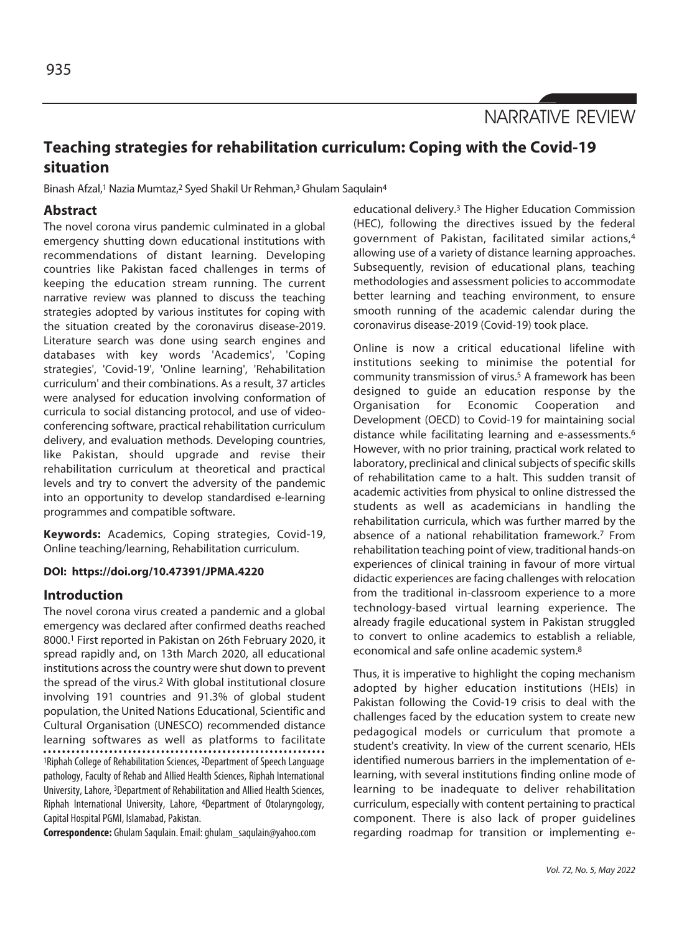NARRATIVE REVIEW

# **Teaching strategies for rehabilitation curriculum: Coping with the Covid-19 situation**

Binash Afzal,<sup>1</sup> Nazia Mumtaz,<sup>2</sup> Syed Shakil Ur Rehman,<sup>3</sup> Ghulam Saqulain<sup>4</sup>

## **Abstract**

The novel corona virus pandemic culminated in a global emergency shutting down educational institutions with recommendations of distant learning. Developing countries like Pakistan faced challenges in terms of keeping the education stream running. The current narrative review was planned to discuss the teaching strategies adopted by various institutes for coping with the situation created by the coronavirus disease-2019. Literature search was done using search engines and databases with key words 'Academics', 'Coping strategies', 'Covid-19', 'Online learning', 'Rehabilitation curriculum' and their combinations. As a result, 37 articles were analysed for education involving conformation of curricula to social distancing protocol, and use of videoconferencing software, practical rehabilitation curriculum delivery, and evaluation methods. Developing countries, like Pakistan, should upgrade and revise their rehabilitation curriculum at theoretical and practical levels and try to convert the adversity of the pandemic into an opportunity to develop standardised e-learning programmes and compatible software.

**Keywords:** Academics, Coping strategies, Covid-19, Online teaching/learning, Rehabilitation curriculum.

#### **DOI: https://doi.org/10.47391/JPMA.4220**

## **Introduction**

The novel corona virus created a pandemic and a global emergency was declared after confirmed deaths reached 8000.1 First reported in Pakistan on 26th February 2020, it spread rapidly and, on 13th March 2020, all educational institutions across the country were shut down to prevent the spread of the virus.2 With global institutional closure involving 191 countries and 91.3% of global student population, the United Nations Educational, Scientific and Cultural Organisation (UNESCO) recommended distance learning softwares as well as platforms to facilitate 1Riphah College of Rehabilitation Sciences, 2Department of Speech Language pathology, Faculty of Rehab and Allied Health Sciences, Riphah International University, Lahore, 3Department of Rehabilitation and Allied Health Sciences, Riphah International University, Lahore, 4Department of Otolaryngology, Capital Hospital PGMI, Islamabad, Pakistan.

**Correspondence:** Ghulam Saqulain. Email: ghulam\_saqulain@yahoo.com

educational delivery.3 The Higher Education Commission (HEC), following the directives issued by the federal government of Pakistan, facilitated similar actions,4 allowing use of a variety of distance learning approaches. Subsequently, revision of educational plans, teaching methodologies and assessment policies to accommodate better learning and teaching environment, to ensure smooth running of the academic calendar during the coronavirus disease-2019 (Covid-19) took place.

Online is now a critical educational lifeline with institutions seeking to minimise the potential for community transmission of virus.5 A framework has been designed to guide an education response by the Organisation for Economic Cooperation and Development (OECD) to Covid-19 for maintaining social distance while facilitating learning and e-assessments.6 However, with no prior training, practical work related to laboratory, preclinical and clinical subjects of specific skills of rehabilitation came to a halt. This sudden transit of academic activities from physical to online distressed the students as well as academicians in handling the rehabilitation curricula, which was further marred by the absence of a national rehabilitation framework.7 From rehabilitation teaching point of view, traditional hands-on experiences of clinical training in favour of more virtual didactic experiences are facing challenges with relocation from the traditional in-classroom experience to a more technology-based virtual learning experience. The already fragile educational system in Pakistan struggled to convert to online academics to establish a reliable, economical and safe online academic system.8

Thus, it is imperative to highlight the coping mechanism adopted by higher education institutions (HEIs) in Pakistan following the Covid-19 crisis to deal with the challenges faced by the education system to create new pedagogical models or curriculum that promote a student's creativity. In view of the current scenario, HEIs identified numerous barriers in the implementation of elearning, with several institutions finding online mode of learning to be inadequate to deliver rehabilitation curriculum, especially with content pertaining to practical component. There is also lack of proper guidelines regarding roadmap for transition or implementing e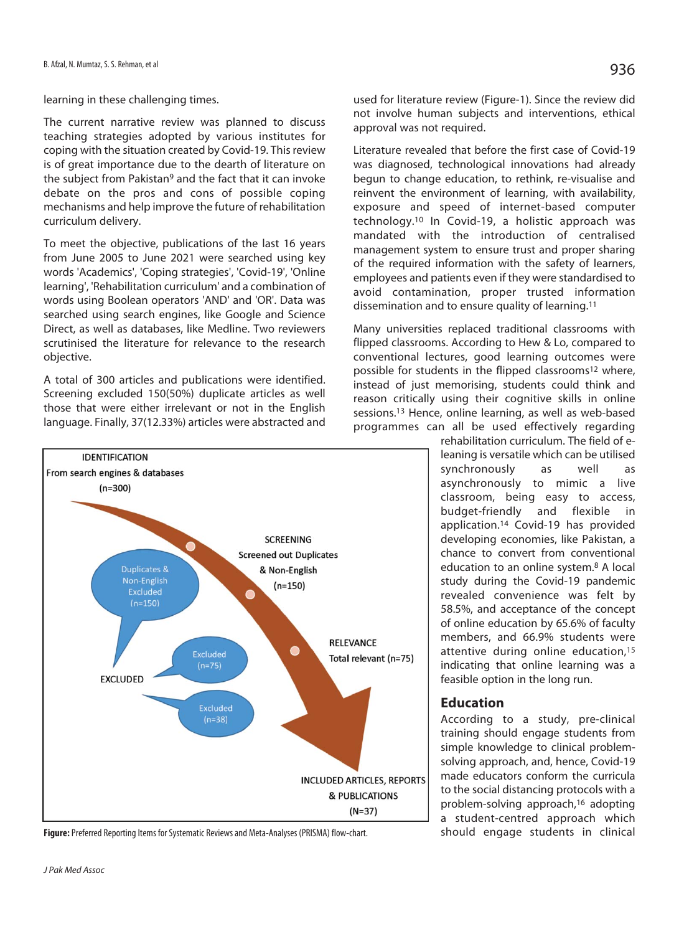learning in these challenging times.

The current narrative review was planned to discuss teaching strategies adopted by various institutes for coping with the situation created by Covid-19. This review is of great importance due to the dearth of literature on the subject from Pakistan<sup>9</sup> and the fact that it can invoke debate on the pros and cons of possible coping mechanisms and help improve the future of rehabilitation curriculum delivery.

To meet the objective, publications of the last 16 years from June 2005 to June 2021 were searched using key words 'Academics', 'Coping strategies', 'Covid-19', 'Online learning', 'Rehabilitation curriculum' and a combination of words using Boolean operators 'AND' and 'OR'. Data was searched using search engines, like Google and Science Direct, as well as databases, like Medline. Two reviewers scrutinised the literature for relevance to the research objective.

A total of 300 articles and publications were identified. Screening excluded 150(50%) duplicate articles as well those that were either irrelevant or not in the English language. Finally, 37(12.33%) articles were abstracted and



**Figure:** Preferred Reporting Items for Systematic Reviews and Meta-Analyses (PRISMA) flow-chart.

used for literature review (Figure-1). Since the review did not involve human subjects and interventions, ethical approval was not required.

Literature revealed that before the first case of Covid-19 was diagnosed, technological innovations had already begun to change education, to rethink, re-visualise and reinvent the environment of learning, with availability, exposure and speed of internet-based computer technology.10 In Covid-19, a holistic approach was mandated with the introduction of centralised management system to ensure trust and proper sharing of the required information with the safety of learners, employees and patients even if they were standardised to avoid contamination, proper trusted information dissemination and to ensure quality of learning.11

Many universities replaced traditional classrooms with flipped classrooms. According to Hew & Lo, compared to conventional lectures, good learning outcomes were possible for students in the flipped classrooms<sup>12</sup> where, instead of just memorising, students could think and reason critically using their cognitive skills in online sessions.13 Hence, online learning, as well as web-based programmes can all be used effectively regarding

rehabilitation curriculum. The field of eleaning is versatile which can be utilised synchronously as well as asynchronously to mimic a live classroom, being easy to access, budget-friendly and flexible in application.14 Covid-19 has provided developing economies, like Pakistan, a chance to convert from conventional education to an online system.8 A local study during the Covid-19 pandemic revealed convenience was felt by 58.5%, and acceptance of the concept of online education by 65.6% of faculty members, and 66.9% students were attentive during online education,<sup>15</sup> indicating that online learning was a feasible option in the long run.

## **Education**

According to a study, pre-clinical training should engage students from simple knowledge to clinical problemsolving approach, and, hence, Covid-19 made educators conform the curricula to the social distancing protocols with a problem-solving approach,16 adopting a student-centred approach which should engage students in clinical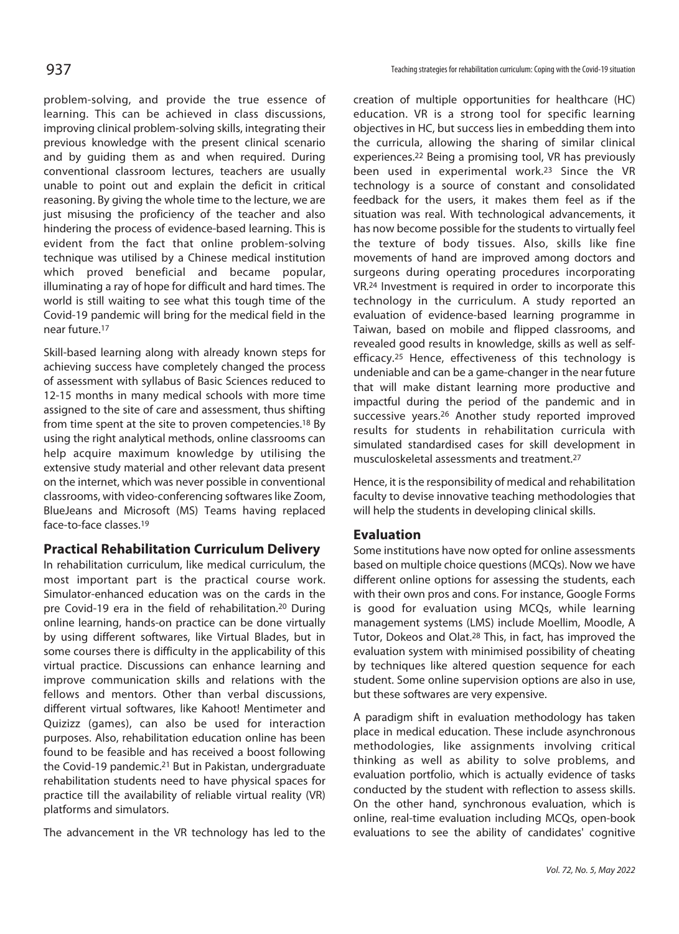problem-solving, and provide the true essence of learning. This can be achieved in class discussions, improving clinical problem-solving skills, integrating their previous knowledge with the present clinical scenario and by guiding them as and when required. During conventional classroom lectures, teachers are usually unable to point out and explain the deficit in critical reasoning. By giving the whole time to the lecture, we are just misusing the proficiency of the teacher and also hindering the process of evidence-based learning. This is evident from the fact that online problem-solving technique was utilised by a Chinese medical institution which proved beneficial and became popular, illuminating a ray of hope for difficult and hard times. The world is still waiting to see what this tough time of the Covid-19 pandemic will bring for the medical field in the near future.17

Skill-based learning along with already known steps for achieving success have completely changed the process of assessment with syllabus of Basic Sciences reduced to 12-15 months in many medical schools with more time assigned to the site of care and assessment, thus shifting from time spent at the site to proven competencies.18 By using the right analytical methods, online classrooms can help acquire maximum knowledge by utilising the extensive study material and other relevant data present on the internet, which was never possible in conventional classrooms, with video-conferencing softwares like Zoom, BlueJeans and Microsoft (MS) Teams having replaced face-to-face classes.19

## **Practical Rehabilitation Curriculum Delivery**

In rehabilitation curriculum, like medical curriculum, the most important part is the practical course work. Simulator-enhanced education was on the cards in the pre Covid-19 era in the field of rehabilitation.20 During online learning, hands-on practice can be done virtually by using different softwares, like Virtual Blades, but in some courses there is difficulty in the applicability of this virtual practice. Discussions can enhance learning and improve communication skills and relations with the fellows and mentors. Other than verbal discussions, different virtual softwares, like Kahoot! Mentimeter and Quizizz (games), can also be used for interaction purposes. Also, rehabilitation education online has been found to be feasible and has received a boost following the Covid-19 pandemic.21 But in Pakistan, undergraduate rehabilitation students need to have physical spaces for practice till the availability of reliable virtual reality (VR) platforms and simulators.

The advancement in the VR technology has led to the

creation of multiple opportunities for healthcare (HC) education. VR is a strong tool for specific learning objectives in HC, but success lies in embedding them into the curricula, allowing the sharing of similar clinical experiences.22 Being a promising tool, VR has previously been used in experimental work.23 Since the VR technology is a source of constant and consolidated feedback for the users, it makes them feel as if the situation was real. With technological advancements, it has now become possible for the students to virtually feel the texture of body tissues. Also, skills like fine movements of hand are improved among doctors and surgeons during operating procedures incorporating VR.24 Investment is required in order to incorporate this technology in the curriculum. A study reported an evaluation of evidence-based learning programme in Taiwan, based on mobile and flipped classrooms, and revealed good results in knowledge, skills as well as selfefficacy.25 Hence, effectiveness of this technology is undeniable and can be a game-changer in the near future that will make distant learning more productive and impactful during the period of the pandemic and in successive years.26 Another study reported improved results for students in rehabilitation curricula with simulated standardised cases for skill development in musculoskeletal assessments and treatment.27

Hence, it is the responsibility of medical and rehabilitation faculty to devise innovative teaching methodologies that will help the students in developing clinical skills.

## **Evaluation**

Some institutions have now opted for online assessments based on multiple choice questions (MCQs). Now we have different online options for assessing the students, each with their own pros and cons. For instance, Google Forms is good for evaluation using MCQs, while learning management systems (LMS) include Moellim, Moodle, A Tutor, Dokeos and Olat.28 This, in fact, has improved the evaluation system with minimised possibility of cheating by techniques like altered question sequence for each student. Some online supervision options are also in use, but these softwares are very expensive.

A paradigm shift in evaluation methodology has taken place in medical education. These include asynchronous methodologies, like assignments involving critical thinking as well as ability to solve problems, and evaluation portfolio, which is actually evidence of tasks conducted by the student with reflection to assess skills. On the other hand, synchronous evaluation, which is online, real-time evaluation including MCQs, open-book evaluations to see the ability of candidates' cognitive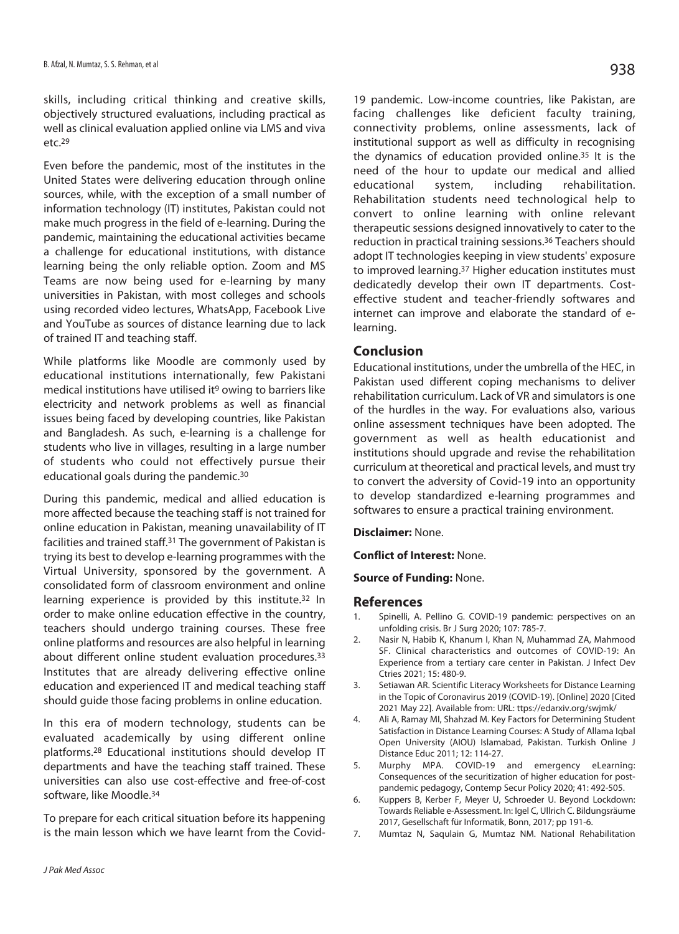skills, including critical thinking and creative skills, objectively structured evaluations, including practical as well as clinical evaluation applied online via LMS and viva etc.29

Even before the pandemic, most of the institutes in the United States were delivering education through online sources, while, with the exception of a small number of information technology (IT) institutes, Pakistan could not make much progress in the field of e-learning. During the pandemic, maintaining the educational activities became a challenge for educational institutions, with distance learning being the only reliable option. Zoom and MS Teams are now being used for e-learning by many universities in Pakistan, with most colleges and schools using recorded video lectures, WhatsApp, Facebook Live and YouTube as sources of distance learning due to lack of trained IT and teaching staff.

While platforms like Moodle are commonly used by educational institutions internationally, few Pakistani medical institutions have utilised it<sup>9</sup> owing to barriers like electricity and network problems as well as financial issues being faced by developing countries, like Pakistan and Bangladesh. As such, e-learning is a challenge for students who live in villages, resulting in a large number of students who could not effectively pursue their educational goals during the pandemic.30

During this pandemic, medical and allied education is more affected because the teaching staff is not trained for online education in Pakistan, meaning unavailability of IT facilities and trained staff.31 The government of Pakistan is trying its best to develop e-learning programmes with the Virtual University, sponsored by the government. A consolidated form of classroom environment and online learning experience is provided by this institute.32 In order to make online education effective in the country, teachers should undergo training courses. These free online platforms and resources are also helpful in learning about different online student evaluation procedures.<sup>33</sup> Institutes that are already delivering effective online education and experienced IT and medical teaching staff should guide those facing problems in online education.

In this era of modern technology, students can be evaluated academically by using different online platforms.28 Educational institutions should develop IT departments and have the teaching staff trained. These universities can also use cost-effective and free-of-cost software, like Moodle.34

To prepare for each critical situation before its happening is the main lesson which we have learnt from the Covid19 pandemic. Low-income countries, like Pakistan, are facing challenges like deficient faculty training, connectivity problems, online assessments, lack of institutional support as well as difficulty in recognising the dynamics of education provided online.35 It is the need of the hour to update our medical and allied educational system, including rehabilitation. Rehabilitation students need technological help to convert to online learning with online relevant therapeutic sessions designed innovatively to cater to the reduction in practical training sessions.36 Teachers should adopt IT technologies keeping in view students' exposure to improved learning.37 Higher education institutes must dedicatedly develop their own IT departments. Costeffective student and teacher-friendly softwares and internet can improve and elaborate the standard of elearning.

#### **Conclusion**

Educational institutions, under the umbrella of the HEC, in Pakistan used different coping mechanisms to deliver rehabilitation curriculum. Lack of VR and simulators is one of the hurdles in the way. For evaluations also, various online assessment techniques have been adopted. The government as well as health educationist and institutions should upgrade and revise the rehabilitation curriculum at theoretical and practical levels, and must try to convert the adversity of Covid-19 into an opportunity to develop standardized e-learning programmes and softwares to ensure a practical training environment.

**Disclaimer:** None.

**Conflict of Interest:** None.

**Source of Funding:** None.

#### **References**

- 1. Spinelli, A. Pellino G. COVID-19 pandemic: perspectives on an unfolding crisis. Br J Surg 2020; 107: 785-7.
- 2. Nasir N, Habib K, Khanum I, Khan N, Muhammad ZA, Mahmood SF. Clinical characteristics and outcomes of COVID-19: An Experience from a tertiary care center in Pakistan. J Infect Dev Ctries 2021; 15: 480-9.
- 3. Setiawan AR. Scientific Literacy Worksheets for Distance Learning in the Topic of Coronavirus 2019 (COVID-19). [Online] 2020 [Cited 2021 May 22]. Available from: URL: ttps://edarxiv.org/swjmk/
- 4. Ali A, Ramay MI, Shahzad M. Key Factors for Determining Student Satisfaction in Distance Learning Courses: A Study of Allama Iqbal Open University (AIOU) Islamabad, Pakistan. Turkish Online J Distance Educ 2011; 12: 114-27.
- 5. Murphy MPA. COVID-19 and emergency eLearning: Consequences of the securitization of higher education for postpandemic pedagogy, Contemp Secur Policy 2020; 41: 492-505.
- 6. Kuppers B, Kerber F, Meyer U, Schroeder U. Beyond Lockdown: Towards Reliable e-Assessment. In: Igel C, Ullrich C. Bildungsräume 2017, Gesellschaft für Informatik, Bonn, 2017; pp 191-6.
- 7. Mumtaz N, Saqulain G, Mumtaz NM. National Rehabilitation